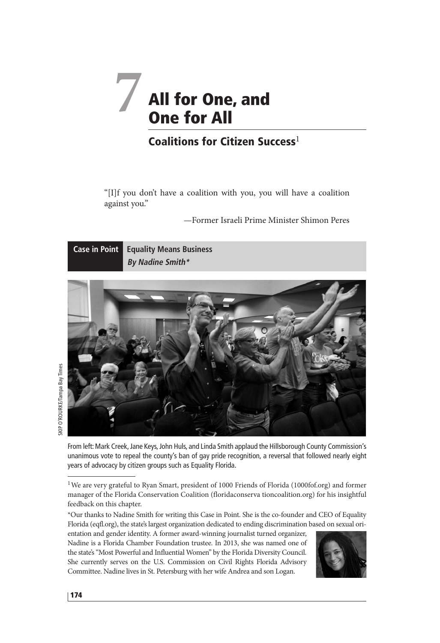# All for One, and One for All **7**

## Coalitions for Citizen Success $1$

"[I]f you don't have a coalition with you, you will have a coalition against you."

—Former Israeli Prime Minister Shimon Peres

**Case in Point Equality Means Business By Nadine Smith\***



From left: Mark Creek, Jane Keys, John Huls, and Linda Smith applaud the Hillsborough County Commission's unanimous vote to repeal the county's ban of gay pride recognition, a reversal that followed nearly eight years of advocacy by citizen groups such as Equality Florida.

\*Our thanks to Nadine Smith for writing this Case in Point. She is the co-founder and CEO of Equality Florida (eqfl.org), the state's largest organization dedicated to ending discrimination based on sexual ori-

entation and gender identity. A former award-winning journalist turned organizer, Nadine is a Florida Chamber Foundation trustee. In 2013, she was named one of the state's "Most Powerful and Influential Women" by the Florida Diversity Council. She currently serves on the U.S. Commission on Civil Rights Florida Advisory Committee. Nadine lives in St. Petersburg with her wife Andrea and son Logan.



<sup>&</sup>lt;sup>1</sup>We are very grateful to Ryan Smart, president of 1000 Friends of Florida (1000fof.org) and former manager of the Florida Conservation Coalition (floridaconserva tioncoalition.org) for his insightful feedback on this chapter.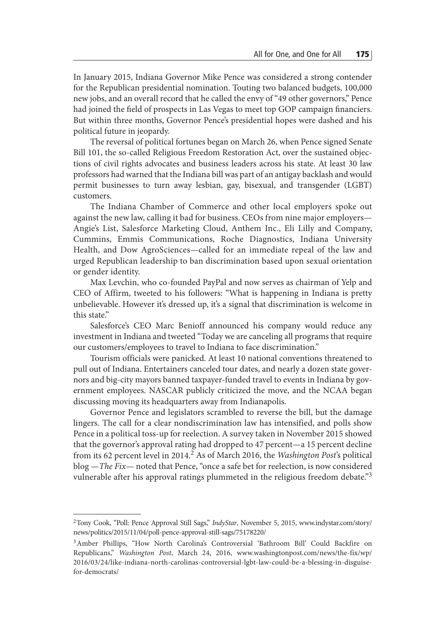In January 2015, Indiana Governor Mike Pence was considered a strong contender for the Republican presidential nomination. Touting two balanced budgets, 100,000 new jobs, and an overall record that he called the envy of "49 other governors," Pence had joined the field of prospects in Las Vegas to meet top GOP campaign financiers. But within three months, Governor Pence's presidential hopes were dashed and his political future in jeopardy.

The reversal of political fortunes began on March 26, when Pence signed Senate Bill 101, the so-called Religious Freedom Restoration Act, over the sustained objections of civil rights advocates and business leaders across his state. At least 30 law professors had warned that the Indiana bill was part of an antigay backlash and would permit businesses to turn away lesbian, gay, bisexual, and transgender (LGBT) customers.

The Indiana Chamber of Commerce and other local employers spoke out against the new law, calling it bad for business. CEOs from nine major employers— Angie's List, Salesforce Marketing Cloud, Anthem Inc., Eli Lilly and Company, Cummins, Emmis Communications, Roche Diagnostics, Indiana University Health, and Dow AgroSciences—called for an immediate repeal of the law and urged Republican leadership to ban discrimination based upon sexual orientation or gender identity.

Max Levchin, who co-founded PayPal and now serves as chairman of Yelp and CEO of Affirm, tweeted to his followers: "What is happening in Indiana is pretty unbelievable. However it's dressed up, it's a signal that discrimination is welcome in this state."

Salesforce's CEO Marc Benioff announced his company would reduce any investment in Indiana and tweeted "Today we are canceling all programs that require our customers/employees to travel to Indiana to face discrimination."

Tourism officials were panicked. At least 10 national conventions threatened to pull out of Indiana. Entertainers canceled tour dates, and nearly a dozen state governors and big-city mayors banned taxpayer-funded travel to events in Indiana by government employees. NASCAR publicly criticized the move, and the NCAA began discussing moving its headquarters away from Indianapolis.

Governor Pence and legislators scrambled to reverse the bill, but the damage lingers. The call for a clear nondiscrimination law has intensified, and polls show Pence in a political toss-up for reelection. A survey taken in November 2015 showed that the governor's approval rating had dropped to 47 percent—a 15 percent decline from its 62 percent level in 2014.2 As of March 2016, the *Washington Post*'s political blog —*The Fix*— noted that Pence, "once a safe bet for reelection, is now considered vulnerable after his approval ratings plummeted in the religious freedom debate."<sup>3</sup>

<sup>2</sup>Tony Cook, "Poll: Pence Approval Still Sags," *IndyStar*, November 5, 2015, [www.indystar.com/story/](www.indystar.com/story/news/politics/2015/11/04/poll-pence-approval-still-sags/75178220/) [news/politics/2015/11/04/poll-pence-approval-still-sags/75178220/](www.indystar.com/story/news/politics/2015/11/04/poll-pence-approval-still-sags/75178220/)

<sup>3</sup>Amber Phillips, "How North Carolina's Controversial 'Bathroom Bill' Could Backfire on Republicans," *Washington Post*, March 24, 2016, [www.washingtonpost.com/news/the-fix/wp/](www.washingtonpost.com/news/the-fix/wp/2016/03/24/like-indiana-north-carolinas-controversial-lgbt-law-could-be-a-blessing-in-disguise-for-democrats/) [2016/03/24/like-indiana-north-carolinas-controversial-lgbt-law-could-be-a-blessing-in-disguise](www.washingtonpost.com/news/the-fix/wp/2016/03/24/like-indiana-north-carolinas-controversial-lgbt-law-could-be-a-blessing-in-disguise-for-democrats/)[for-democrats/](www.washingtonpost.com/news/the-fix/wp/2016/03/24/like-indiana-north-carolinas-controversial-lgbt-law-could-be-a-blessing-in-disguise-for-democrats/)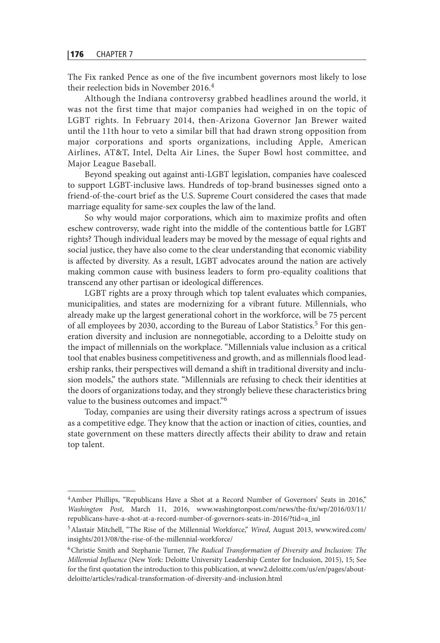The Fix ranked Pence as one of the five incumbent governors most likely to lose their reelection bids in November 2016.<sup>4</sup>

Although the Indiana controversy grabbed headlines around the world, it was not the first time that major companies had weighed in on the topic of LGBT rights. In February 2014, then-Arizona Governor Jan Brewer waited until the 11th hour to veto a similar bill that had drawn strong opposition from major corporations and sports organizations, including Apple, American Airlines, AT&T, Intel, Delta Air Lines, the Super Bowl host committee, and Major League Baseball.

Beyond speaking out against anti-LGBT legislation, companies have coalesced to support LGBT-inclusive laws. Hundreds of top-brand businesses signed onto a friend-of-the-court brief as the U.S. Supreme Court considered the cases that made marriage equality for same-sex couples the law of the land.

So why would major corporations, which aim to maximize profits and often eschew controversy, wade right into the middle of the contentious battle for LGBT rights? Though individual leaders may be moved by the message of equal rights and social justice, they have also come to the clear understanding that economic viability is affected by diversity. As a result, LGBT advocates around the nation are actively making common cause with business leaders to form pro-equality coalitions that transcend any other partisan or ideological differences.

LGBT rights are a proxy through which top talent evaluates which companies, municipalities, and states are modernizing for a vibrant future. Millennials, who already make up the largest generational cohort in the workforce, will be 75 percent of all employees by 2030, according to the Bureau of Labor Statistics.<sup>5</sup> For this generation diversity and inclusion are nonnegotiable, according to a Deloitte study on the impact of millennials on the workplace. "Millennials value inclusion as a critical tool that enables business competitiveness and growth, and as millennials flood leadership ranks, their perspectives will demand a shift in traditional diversity and inclusion models," the authors state. "Millennials are refusing to check their identities at the doors of organizations today, and they strongly believe these characteristics bring value to the business outcomes and impact."<sup>6</sup>

Today, companies are using their diversity ratings across a spectrum of issues as a competitive edge. They know that the action or inaction of cities, counties, and state government on these matters directly affects their ability to draw and retain top talent.

<sup>4</sup>Amber Phillips, "Republicans Have a Shot at a Record Number of Governors' Seats in 2016," *Washington Post*, March 11, 2016, [www.washingtonpost.com/news/the-fix/wp/2016/03/11/](www.washingtonpost.com/news/the-fix/wp/2016/03/11/republicans-have-a-shot-at-a-record-number-of-governors-seats-in-2016/?tid=a_inl) [republicans-have-a-shot-at-a-record-number-of-governors-seats-in-2016/?tid=a\\_inl](www.washingtonpost.com/news/the-fix/wp/2016/03/11/republicans-have-a-shot-at-a-record-number-of-governors-seats-in-2016/?tid=a_inl)

<sup>5</sup>Alastair Mitchell, "The Rise of the Millennial Workforce," *Wired*, August 2013, [www.wired.com/](www.wired.com/insights/2013/08/the-rise-of-the-millennial-workforce/) [insights/2013/08/the-rise-of-the-millennial-workforce/](www.wired.com/insights/2013/08/the-rise-of-the-millennial-workforce/)

<sup>6</sup>Christie Smith and Stephanie Turner, *The Radical Transformation of Diversity and Inclusion: The Millennial Influence* (New York: Deloitte University Leadership Center for Inclusion, 2015), 15; See for the first quotation the introduction to this publication, at [www2.deloitte.com/us/en/pages/about](www2.deloitte.com/us/en/pages/about-deloitte/articles/radical-transformation-of-diversity-and-inclusion.html)[deloitte/articles/radical-transformation-of-diversity-and-inclusion.html](www2.deloitte.com/us/en/pages/about-deloitte/articles/radical-transformation-of-diversity-and-inclusion.html)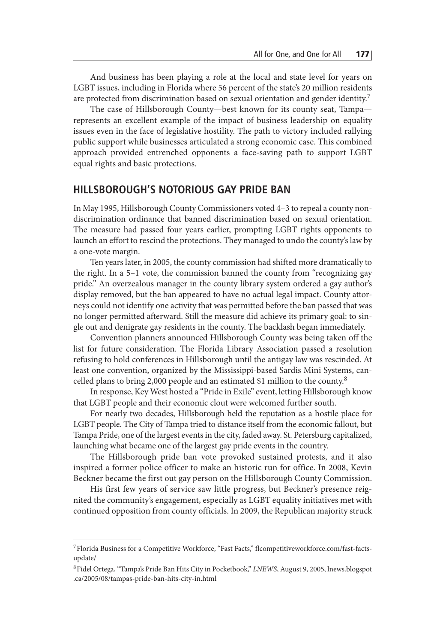And business has been playing a role at the local and state level for years on LGBT issues, including in Florida where 56 percent of the state's 20 million residents are protected from discrimination based on sexual orientation and gender identity.<sup>7</sup>

The case of Hillsborough County—best known for its county seat, Tampa represents an excellent example of the impact of business leadership on equality issues even in the face of legislative hostility. The path to victory included rallying public support while businesses articulated a strong economic case. This combined approach provided entrenched opponents a face-saving path to support LGBT equal rights and basic protections.

#### **HILLSBOROUGH'S NOTORIOUS GAY PRIDE BAN**

In May 1995, Hillsborough County Commissioners voted 4–3 to repeal a county nondiscrimination ordinance that banned discrimination based on sexual orientation. The measure had passed four years earlier, prompting LGBT rights opponents to launch an effort to rescind the protections. They managed to undo the county's law by a one-vote margin.

Ten years later, in 2005, the county commission had shifted more dramatically to the right. In a 5–1 vote, the commission banned the county from "recognizing gay pride." An overzealous manager in the county library system ordered a gay author's display removed, but the ban appeared to have no actual legal impact. County attorneys could not identify one activity that was permitted before the ban passed that was no longer permitted afterward. Still the measure did achieve its primary goal: to single out and denigrate gay residents in the county. The backlash began immediately.

Convention planners announced Hillsborough County was being taken off the list for future consideration. The Florida Library Association passed a resolution refusing to hold conferences in Hillsborough until the antigay law was rescinded. At least one convention, organized by the Mississippi-based Sardis Mini Systems, cancelled plans to bring 2,000 people and an estimated \$1 million to the county.8

In response, Key West hosted a "Pride in Exile" event, letting Hillsborough know that LGBT people and their economic clout were welcomed further south.

For nearly two decades, Hillsborough held the reputation as a hostile place for LGBT people. The City of Tampa tried to distance itself from the economic fallout, but Tampa Pride, one of the largest events in the city, faded away. St. Petersburg capitalized, launching what became one of the largest gay pride events in the country.

The Hillsborough pride ban vote provoked sustained protests, and it also inspired a former police officer to make an historic run for office. In 2008, Kevin Beckner became the first out gay person on the Hillsborough County Commission.

His first few years of service saw little progress, but Beckner's presence reignited the community's engagement, especially as LGBT equality initiatives met with continued opposition from county officials. In 2009, the Republican majority struck

<sup>7</sup>Florida Business for a Competitive Workforce, "Fast Facts," [flcompetitiveworkforce.com/fast-facts](http://flcompetitiveworkforce.com/fast-facts-update/)[update/](http://flcompetitiveworkforce.com/fast-facts-update/)

<sup>8</sup>Fidel Ortega, "Tampa's Pride Ban Hits City in Pocketbook," *LNEWS*, August 9, 2005, [lnews.blogspot](http://lnews.blogspot.ca/2005/08/tampas-pride-ban-hits-city-in.html) [.ca/2005/08/tampas-pride-ban-hits-city-in.html](http://lnews.blogspot.ca/2005/08/tampas-pride-ban-hits-city-in.html)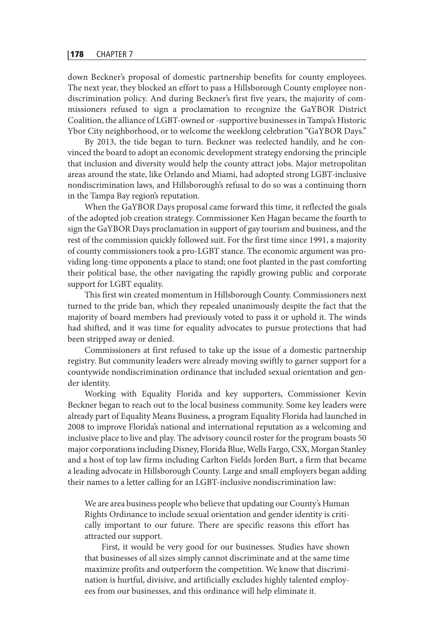down Beckner's proposal of domestic partnership benefits for county employees. The next year, they blocked an effort to pass a Hillsborough County employee nondiscrimination policy. And during Beckner's first five years, the majority of commissioners refused to sign a proclamation to recognize the GaYBOR District Coalition, the alliance of LGBT-owned or -supportive businesses in Tampa's Historic Ybor City neighborhood, or to welcome the weeklong celebration "GaYBOR Days."

By 2013, the tide began to turn. Beckner was reelected handily, and he convinced the board to adopt an economic development strategy endorsing the principle that inclusion and diversity would help the county attract jobs. Major metropolitan areas around the state, like Orlando and Miami, had adopted strong LGBT-inclusive nondiscrimination laws, and Hillsborough's refusal to do so was a continuing thorn in the Tampa Bay region's reputation.

When the GaYBOR Days proposal came forward this time, it reflected the goals of the adopted job creation strategy. Commissioner Ken Hagan became the fourth to sign the GaYBOR Days proclamation in support of gay tourism and business, and the rest of the commission quickly followed suit. For the first time since 1991, a majority of county commissioners took a pro-LGBT stance. The economic argument was providing long-time opponents a place to stand; one foot planted in the past comforting their political base, the other navigating the rapidly growing public and corporate support for LGBT equality.

This first win created momentum in Hillsborough County. Commissioners next turned to the pride ban, which they repealed unanimously despite the fact that the majority of board members had previously voted to pass it or uphold it. The winds had shifted, and it was time for equality advocates to pursue protections that had been stripped away or denied.

Commissioners at first refused to take up the issue of a domestic partnership registry. But community leaders were already moving swiftly to garner support for a countywide nondiscrimination ordinance that included sexual orientation and gender identity.

Working with Equality Florida and key supporters, Commissioner Kevin Beckner began to reach out to the local business community. Some key leaders were already part of Equality Means Business, a program Equality Florida had launched in 2008 to improve Florida's national and international reputation as a welcoming and inclusive place to live and play. The advisory council roster for the program boasts 50 major corporations including Disney, Florida Blue, Wells Fargo, CSX, Morgan Stanley and a host of top law firms including Carlton Fields Jorden Burt, a firm that became a leading advocate in Hillsborough County. Large and small employers began adding their names to a letter calling for an LGBT-inclusive nondiscrimination law:

We are area business people who believe that updating our County's Human Rights Ordinance to include sexual orientation and gender identity is critically important to our future. There are specific reasons this effort has attracted our support.

First, it would be very good for our businesses. Studies have shown that businesses of all sizes simply cannot discriminate and at the same time maximize profits and outperform the competition. We know that discrimination is hurtful, divisive, and artificially excludes highly talented employees from our businesses, and this ordinance will help eliminate it.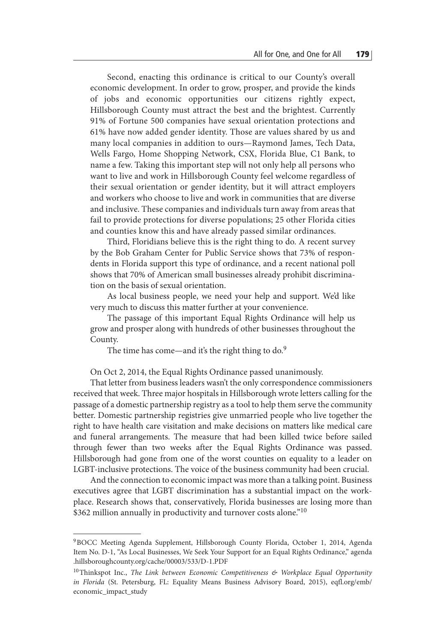Second, enacting this ordinance is critical to our County's overall economic development. In order to grow, prosper, and provide the kinds of jobs and economic opportunities our citizens rightly expect, Hillsborough County must attract the best and the brightest. Currently 91% of Fortune 500 companies have sexual orientation protections and 61% have now added gender identity. Those are values shared by us and many local companies in addition to ours—Raymond James, Tech Data, Wells Fargo, Home Shopping Network, CSX, Florida Blue, C1 Bank, to name a few. Taking this important step will not only help all persons who want to live and work in Hillsborough County feel welcome regardless of their sexual orientation or gender identity, but it will attract employers and workers who choose to live and work in communities that are diverse and inclusive. These companies and individuals turn away from areas that fail to provide protections for diverse populations; 25 other Florida cities and counties know this and have already passed similar ordinances.

Third, Floridians believe this is the right thing to do. A recent survey by the Bob Graham Center for Public Service shows that 73% of respondents in Florida support this type of ordinance, and a recent national poll shows that 70% of American small businesses already prohibit discrimination on the basis of sexual orientation.

As local business people, we need your help and support. We'd like very much to discuss this matter further at your convenience.

The passage of this important Equal Rights Ordinance will help us grow and prosper along with hundreds of other businesses throughout the County.

The time has come—and it's the right thing to do.<sup>9</sup>

On Oct 2, 2014, the Equal Rights Ordinance passed unanimously.

That letter from business leaders wasn't the only correspondence commissioners received that week. Three major hospitals in Hillsborough wrote letters calling for the passage of a domestic partnership registry as a tool to help them serve the community better. Domestic partnership registries give unmarried people who live together the right to have health care visitation and make decisions on matters like medical care and funeral arrangements. The measure that had been killed twice before sailed through fewer than two weeks after the Equal Rights Ordinance was passed. Hillsborough had gone from one of the worst counties on equality to a leader on LGBT-inclusive protections. The voice of the business community had been crucial.

And the connection to economic impact was more than a talking point. Business executives agree that LGBT discrimination has a substantial impact on the workplace. Research shows that, conservatively, Florida businesses are losing more than \$362 million annually in productivity and turnover costs alone."<sup>10</sup>

<sup>9</sup>BOCC Meeting Agenda Supplement, Hillsborough County Florida, October 1, 2014, Agenda Item No. D-1, "As Local Businesses, We Seek Your Support for an Equal Rights Ordinance," [agenda](http://agenda.hillsboroughcounty.org/cache/00003/533/D-1.PDF) [.hillsboroughcounty.org/cache/00003/533/D-1.PDF](http://agenda.hillsboroughcounty.org/cache/00003/533/D-1.PDF)

<sup>10</sup>Thinkspot Inc., *The Link between Economic Competitiveness & Workplace Equal Opportunity in Florida* (St. Petersburg, FL: Equality Means Business Advisory Board, 2015), [eqfl.org/emb/](http://eqfl.org/emb/economic_impact_study) [economic\\_impact\\_study](http://eqfl.org/emb/economic_impact_study)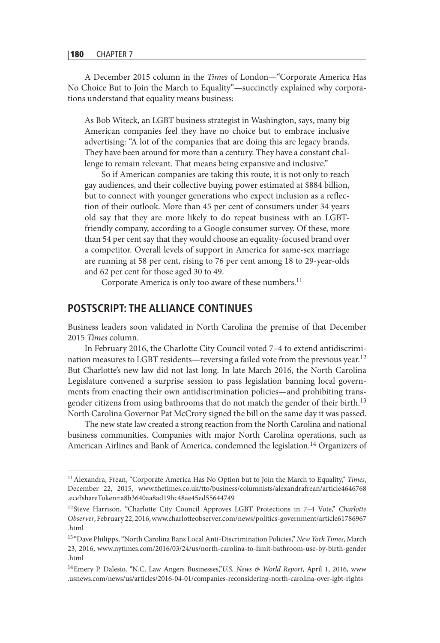A December 2015 column in the *Times* of London—"Corporate America Has No Choice But to Join the March to Equality"—succinctly explained why corporations understand that equality means business:

As Bob Witeck, an LGBT business strategist in Washington, says, many big American companies feel they have no choice but to embrace inclusive advertising: "A lot of the companies that are doing this are legacy brands. They have been around for more than a century. They have a constant challenge to remain relevant. That means being expansive and inclusive."

So if American companies are taking this route, it is not only to reach gay audiences, and their collective buying power estimated at \$884 billion, but to connect with younger generations who expect inclusion as a reflection of their outlook. More than 45 per cent of consumers under 34 years old say that they are more likely to do repeat business with an LGBTfriendly company, according to a Google consumer survey. Of these, more than 54 per cent say that they would choose an equality-focused brand over a competitor. Overall levels of support in America for same-sex marriage are running at 58 per cent, rising to 76 per cent among 18 to 29-year-olds and 62 per cent for those aged 30 to 49.

Corporate America is only too aware of these numbers.<sup>11</sup>

#### **POSTSCRIPT: THE ALLIANCE CONTINUES**

Business leaders soon validated in North Carolina the premise of that December 2015 *Times* column.

In February 2016, the Charlotte City Council voted 7–4 to extend antidiscrimination measures to LGBT residents—reversing a failed vote from the previous year.<sup>12</sup> But Charlotte's new law did not last long. In late March 2016, the North Carolina Legislature convened a surprise session to pass legislation banning local governments from enacting their own antidiscrimination policies—and prohibiting transgender citizens from using bathrooms that do not match the gender of their birth.<sup>13</sup> North Carolina Governor Pat McCrory signed the bill on the same day it was passed.

The new state law created a strong reaction from the North Carolina and national business communities. Companies with major North Carolina operations, such as American Airlines and Bank of America, condemned the legislation.<sup>14</sup> Organizers of

<sup>11</sup>Alexandra, Frean, "Corporate America Has No Option but to Join the March to Equality," *Times*, December 22, 2015, [www.thetimes.co.uk/tto/business/columnists/alexandrafrean/article4646768](http://www.thetimes.co.uk/tto/business/columnists/alexandrafrean/article4646768.ece?shareToken=a8b3640aa8ad19bc48ae45ed55644749) [.ece?shareToken=a8b3640aa8ad19bc48ae45ed55644749](http://www.thetimes.co.uk/tto/business/columnists/alexandrafrean/article4646768.ece?shareToken=a8b3640aa8ad19bc48ae45ed55644749)

<sup>&</sup>lt;sup>12</sup> Steve Harrison, "Charlotte City Council Approves LGBT Protections in 7-4 Vote," *Charlotte Observer*, February 22, 2016,[www.charlotteobserver.com/news/politics-government/article61786967](http://www.charlotteobserver.com/news/politics-government/article61786967.html) [.html](http://www.charlotteobserver.com/news/politics-government/article61786967.html)

<sup>13</sup> "Dave Philipps, "North Carolina Bans Local Anti-Discrimination Policies," *New York Times*, March 23, 2016, [www.nytimes.com/2016/03/24/us/north-carolina-to-limit-bathroom-use-by-birth-gender](http://www.nytimes.com/2016/03/24/us/north-carolina-to-limit-bathroom-use-by-birth-gender.html) [.html](http://www.nytimes.com/2016/03/24/us/north-carolina-to-limit-bathroom-use-by-birth-gender.html)

<sup>14</sup>Emery P. Dalesio, "N.C. Law Angers Businesses,"*U.S. News & World Report*, April 1, 2016, [www](http://www.usnews.com/news/us/articles/2016-04-01/companies-reconsidering-north-carolina-over-lgbt-rights) [.usnews.com/news/us/articles/2016-04-01/companies-reconsidering-north-carolina-over-lgbt-rights](http://www.usnews.com/news/us/articles/2016-04-01/companies-reconsidering-north-carolina-over-lgbt-rights)